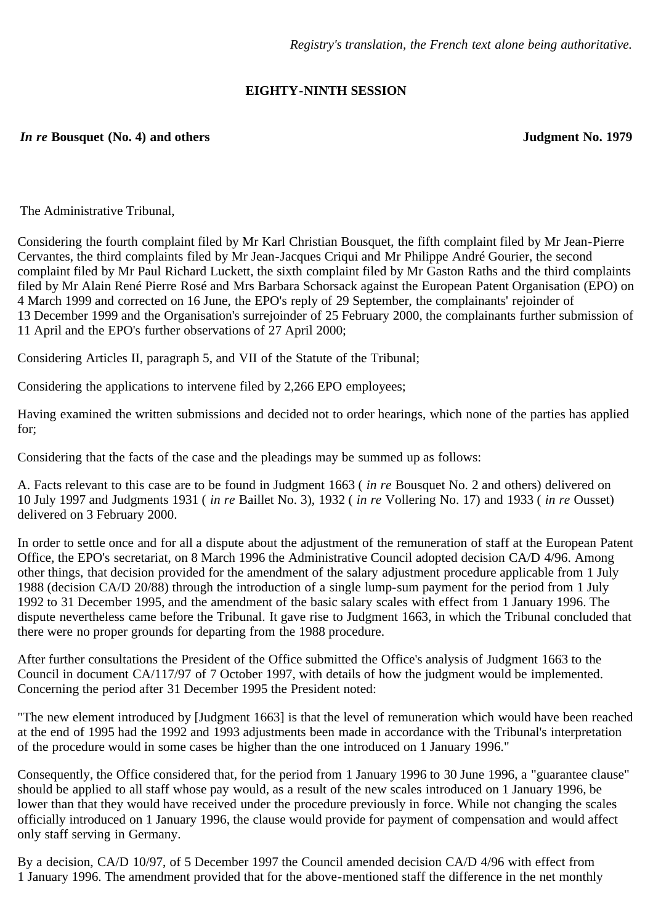# **EIGHTY-NINTH SESSION**

## *In re* **Bousquet (No. 4) and others Judgment No. 1979**

The Administrative Tribunal,

Considering the fourth complaint filed by Mr Karl Christian Bousquet, the fifth complaint filed by Mr Jean-Pierre Cervantes, the third complaints filed by Mr Jean-Jacques Criqui and Mr Philippe André Gourier, the second complaint filed by Mr Paul Richard Luckett, the sixth complaint filed by Mr Gaston Raths and the third complaints filed by Mr Alain René Pierre Rosé and Mrs Barbara Schorsack against the European Patent Organisation (EPO) on 4 March 1999 and corrected on 16 June, the EPO's reply of 29 September, the complainants' rejoinder of 13 December 1999 and the Organisation's surrejoinder of 25 February 2000, the complainants further submission of 11 April and the EPO's further observations of 27 April 2000;

Considering Articles II, paragraph 5, and VII of the Statute of the Tribunal;

Considering the applications to intervene filed by 2,266 EPO employees;

Having examined the written submissions and decided not to order hearings, which none of the parties has applied for;

Considering that the facts of the case and the pleadings may be summed up as follows:

A. Facts relevant to this case are to be found in Judgment 1663 ( *in re* Bousquet No. 2 and others) delivered on 10 July 1997 and Judgments 1931 ( *in re* Baillet No. 3), 1932 ( *in re* Vollering No. 17) and 1933 ( *in re* Ousset) delivered on 3 February 2000.

In order to settle once and for all a dispute about the adjustment of the remuneration of staff at the European Patent Office, the EPO's secretariat, on 8 March 1996 the Administrative Council adopted decision CA/D 4/96. Among other things, that decision provided for the amendment of the salary adjustment procedure applicable from 1 July 1988 (decision CA/D 20/88) through the introduction of a single lump-sum payment for the period from 1 July 1992 to 31 December 1995, and the amendment of the basic salary scales with effect from 1 January 1996. The dispute nevertheless came before the Tribunal. It gave rise to Judgment 1663, in which the Tribunal concluded that there were no proper grounds for departing from the 1988 procedure.

After further consultations the President of the Office submitted the Office's analysis of Judgment 1663 to the Council in document CA/117/97 of 7 October 1997, with details of how the judgment would be implemented. Concerning the period after 31 December 1995 the President noted:

"The new element introduced by [Judgment 1663] is that the level of remuneration which would have been reached at the end of 1995 had the 1992 and 1993 adjustments been made in accordance with the Tribunal's interpretation of the procedure would in some cases be higher than the one introduced on 1 January 1996."

Consequently, the Office considered that, for the period from 1 January 1996 to 30 June 1996, a "guarantee clause" should be applied to all staff whose pay would, as a result of the new scales introduced on 1 January 1996, be lower than that they would have received under the procedure previously in force. While not changing the scales officially introduced on 1 January 1996, the clause would provide for payment of compensation and would affect only staff serving in Germany.

By a decision, CA/D 10/97, of 5 December 1997 the Council amended decision CA/D 4/96 with effect from 1 January 1996. The amendment provided that for the above-mentioned staff the difference in the net monthly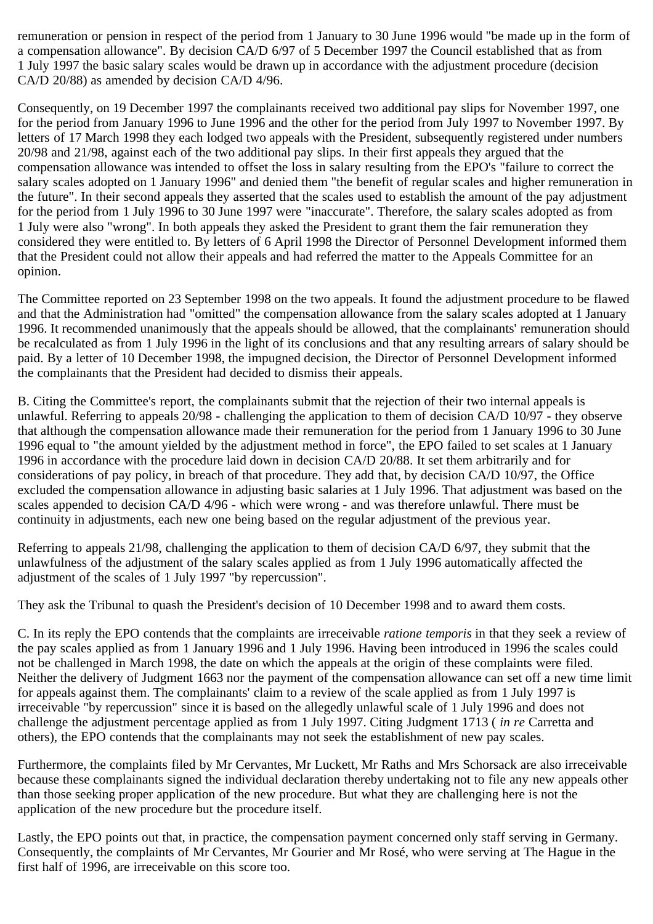remuneration or pension in respect of the period from 1 January to 30 June 1996 would "be made up in the form of a compensation allowance". By decision CA/D 6/97 of 5 December 1997 the Council established that as from 1 July 1997 the basic salary scales would be drawn up in accordance with the adjustment procedure (decision CA/D 20/88) as amended by decision CA/D 4/96.

Consequently, on 19 December 1997 the complainants received two additional pay slips for November 1997, one for the period from January 1996 to June 1996 and the other for the period from July 1997 to November 1997. By letters of 17 March 1998 they each lodged two appeals with the President, subsequently registered under numbers 20/98 and 21/98, against each of the two additional pay slips. In their first appeals they argued that the compensation allowance was intended to offset the loss in salary resulting from the EPO's "failure to correct the salary scales adopted on 1 January 1996" and denied them "the benefit of regular scales and higher remuneration in the future". In their second appeals they asserted that the scales used to establish the amount of the pay adjustment for the period from 1 July 1996 to 30 June 1997 were "inaccurate". Therefore, the salary scales adopted as from 1 July were also "wrong". In both appeals they asked the President to grant them the fair remuneration they considered they were entitled to. By letters of 6 April 1998 the Director of Personnel Development informed them that the President could not allow their appeals and had referred the matter to the Appeals Committee for an opinion.

The Committee reported on 23 September 1998 on the two appeals. It found the adjustment procedure to be flawed and that the Administration had "omitted" the compensation allowance from the salary scales adopted at 1 January 1996. It recommended unanimously that the appeals should be allowed, that the complainants' remuneration should be recalculated as from 1 July 1996 in the light of its conclusions and that any resulting arrears of salary should be paid. By a letter of 10 December 1998, the impugned decision, the Director of Personnel Development informed the complainants that the President had decided to dismiss their appeals.

B. Citing the Committee's report, the complainants submit that the rejection of their two internal appeals is unlawful. Referring to appeals 20/98 - challenging the application to them of decision CA/D 10/97 - they observe that although the compensation allowance made their remuneration for the period from 1 January 1996 to 30 June 1996 equal to "the amount yielded by the adjustment method in force", the EPO failed to set scales at 1 January 1996 in accordance with the procedure laid down in decision CA/D 20/88. It set them arbitrarily and for considerations of pay policy, in breach of that procedure. They add that, by decision CA/D 10/97, the Office excluded the compensation allowance in adjusting basic salaries at 1 July 1996. That adjustment was based on the scales appended to decision CA/D 4/96 - which were wrong - and was therefore unlawful. There must be continuity in adjustments, each new one being based on the regular adjustment of the previous year.

Referring to appeals 21/98, challenging the application to them of decision CA/D 6/97, they submit that the unlawfulness of the adjustment of the salary scales applied as from 1 July 1996 automatically affected the adjustment of the scales of 1 July 1997 "by repercussion".

They ask the Tribunal to quash the President's decision of 10 December 1998 and to award them costs.

C. In its reply the EPO contends that the complaints are irreceivable *ratione temporis* in that they seek a review of the pay scales applied as from 1 January 1996 and 1 July 1996. Having been introduced in 1996 the scales could not be challenged in March 1998, the date on which the appeals at the origin of these complaints were filed. Neither the delivery of Judgment 1663 nor the payment of the compensation allowance can set off a new time limit for appeals against them. The complainants' claim to a review of the scale applied as from 1 July 1997 is irreceivable "by repercussion" since it is based on the allegedly unlawful scale of 1 July 1996 and does not challenge the adjustment percentage applied as from 1 July 1997. Citing Judgment 1713 ( *in re* Carretta and others), the EPO contends that the complainants may not seek the establishment of new pay scales.

Furthermore, the complaints filed by Mr Cervantes, Mr Luckett, Mr Raths and Mrs Schorsack are also irreceivable because these complainants signed the individual declaration thereby undertaking not to file any new appeals other than those seeking proper application of the new procedure. But what they are challenging here is not the application of the new procedure but the procedure itself.

Lastly, the EPO points out that, in practice, the compensation payment concerned only staff serving in Germany. Consequently, the complaints of Mr Cervantes, Mr Gourier and Mr Rosé, who were serving at The Hague in the first half of 1996, are irreceivable on this score too.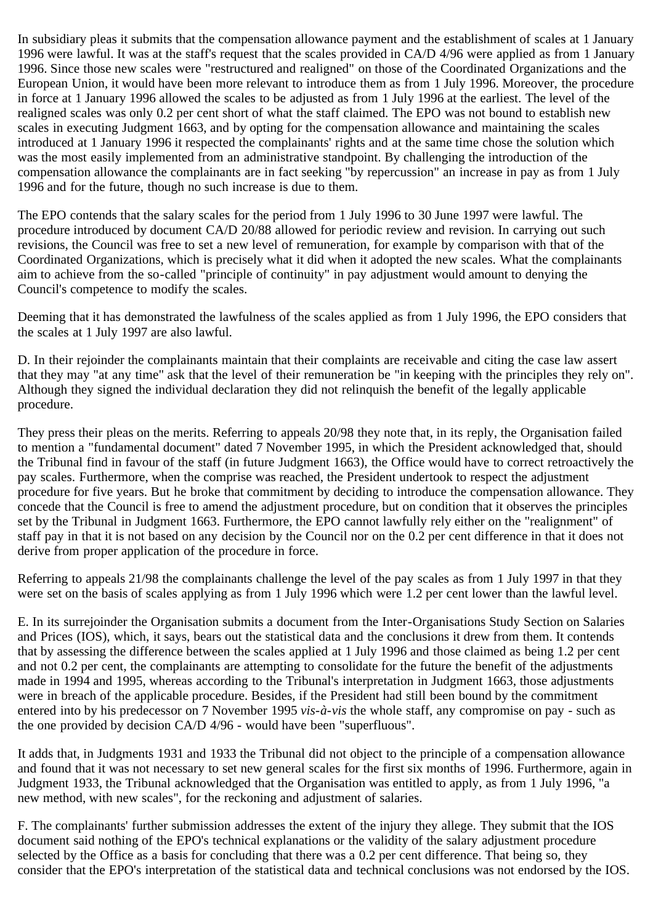In subsidiary pleas it submits that the compensation allowance payment and the establishment of scales at 1 January 1996 were lawful. It was at the staff's request that the scales provided in CA/D 4/96 were applied as from 1 January 1996. Since those new scales were "restructured and realigned" on those of the Coordinated Organizations and the European Union, it would have been more relevant to introduce them as from 1 July 1996. Moreover, the procedure in force at 1 January 1996 allowed the scales to be adjusted as from 1 July 1996 at the earliest. The level of the realigned scales was only 0.2 per cent short of what the staff claimed. The EPO was not bound to establish new scales in executing Judgment 1663, and by opting for the compensation allowance and maintaining the scales introduced at 1 January 1996 it respected the complainants' rights and at the same time chose the solution which was the most easily implemented from an administrative standpoint. By challenging the introduction of the compensation allowance the complainants are in fact seeking "by repercussion" an increase in pay as from 1 July 1996 and for the future, though no such increase is due to them.

The EPO contends that the salary scales for the period from 1 July 1996 to 30 June 1997 were lawful. The procedure introduced by document CA/D 20/88 allowed for periodic review and revision. In carrying out such revisions, the Council was free to set a new level of remuneration, for example by comparison with that of the Coordinated Organizations, which is precisely what it did when it adopted the new scales. What the complainants aim to achieve from the so-called "principle of continuity" in pay adjustment would amount to denying the Council's competence to modify the scales.

Deeming that it has demonstrated the lawfulness of the scales applied as from 1 July 1996, the EPO considers that the scales at 1 July 1997 are also lawful.

D. In their rejoinder the complainants maintain that their complaints are receivable and citing the case law assert that they may "at any time" ask that the level of their remuneration be "in keeping with the principles they rely on". Although they signed the individual declaration they did not relinquish the benefit of the legally applicable procedure.

They press their pleas on the merits. Referring to appeals 20/98 they note that, in its reply, the Organisation failed to mention a "fundamental document" dated 7 November 1995, in which the President acknowledged that, should the Tribunal find in favour of the staff (in future Judgment 1663), the Office would have to correct retroactively the pay scales. Furthermore, when the comprise was reached, the President undertook to respect the adjustment procedure for five years. But he broke that commitment by deciding to introduce the compensation allowance. They concede that the Council is free to amend the adjustment procedure, but on condition that it observes the principles set by the Tribunal in Judgment 1663. Furthermore, the EPO cannot lawfully rely either on the "realignment" of staff pay in that it is not based on any decision by the Council nor on the 0.2 per cent difference in that it does not derive from proper application of the procedure in force.

Referring to appeals 21/98 the complainants challenge the level of the pay scales as from 1 July 1997 in that they were set on the basis of scales applying as from 1 July 1996 which were 1.2 per cent lower than the lawful level.

E. In its surrejoinder the Organisation submits a document from the Inter-Organisations Study Section on Salaries and Prices (IOS), which, it says, bears out the statistical data and the conclusions it drew from them. It contends that by assessing the difference between the scales applied at 1 July 1996 and those claimed as being 1.2 per cent and not 0.2 per cent, the complainants are attempting to consolidate for the future the benefit of the adjustments made in 1994 and 1995, whereas according to the Tribunal's interpretation in Judgment 1663, those adjustments were in breach of the applicable procedure. Besides, if the President had still been bound by the commitment entered into by his predecessor on 7 November 1995 *vis-à-vis* the whole staff, any compromise on pay - such as the one provided by decision CA/D 4/96 - would have been "superfluous".

It adds that, in Judgments 1931 and 1933 the Tribunal did not object to the principle of a compensation allowance and found that it was not necessary to set new general scales for the first six months of 1996. Furthermore, again in Judgment 1933, the Tribunal acknowledged that the Organisation was entitled to apply, as from 1 July 1996, "a new method, with new scales", for the reckoning and adjustment of salaries.

F. The complainants' further submission addresses the extent of the injury they allege. They submit that the IOS document said nothing of the EPO's technical explanations or the validity of the salary adjustment procedure selected by the Office as a basis for concluding that there was a 0.2 per cent difference. That being so, they consider that the EPO's interpretation of the statistical data and technical conclusions was not endorsed by the IOS.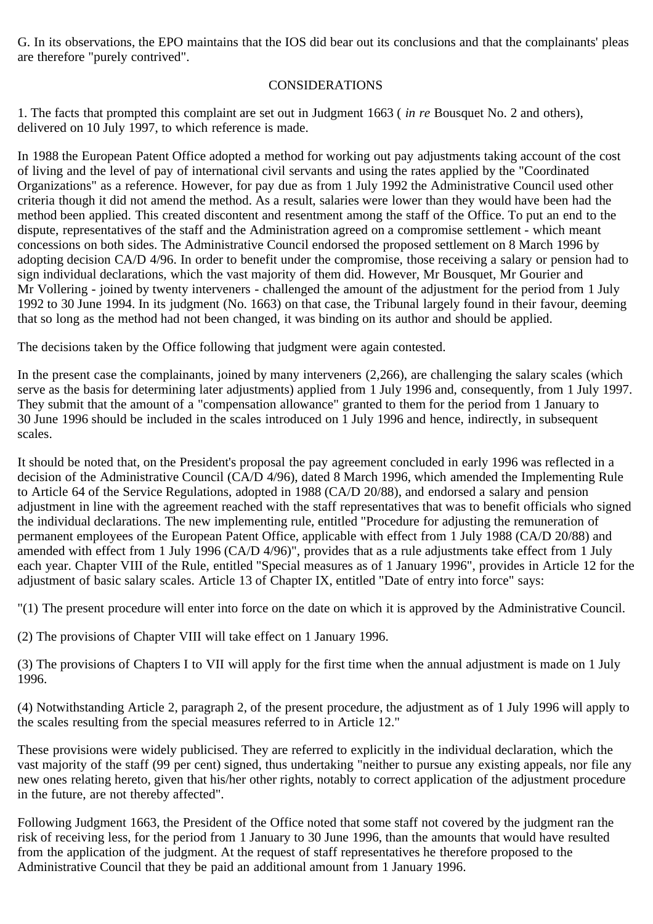G. In its observations, the EPO maintains that the IOS did bear out its conclusions and that the complainants' pleas are therefore "purely contrived".

## CONSIDERATIONS

1. The facts that prompted this complaint are set out in Judgment 1663 ( *in re* Bousquet No. 2 and others), delivered on 10 July 1997, to which reference is made.

In 1988 the European Patent Office adopted a method for working out pay adjustments taking account of the cost of living and the level of pay of international civil servants and using the rates applied by the "Coordinated Organizations" as a reference. However, for pay due as from 1 July 1992 the Administrative Council used other criteria though it did not amend the method. As a result, salaries were lower than they would have been had the method been applied. This created discontent and resentment among the staff of the Office. To put an end to the dispute, representatives of the staff and the Administration agreed on a compromise settlement - which meant concessions on both sides. The Administrative Council endorsed the proposed settlement on 8 March 1996 by adopting decision CA/D 4/96. In order to benefit under the compromise, those receiving a salary or pension had to sign individual declarations, which the vast majority of them did. However, Mr Bousquet, Mr Gourier and Mr Vollering - joined by twenty interveners - challenged the amount of the adjustment for the period from 1 July 1992 to 30 June 1994. In its judgment (No. 1663) on that case, the Tribunal largely found in their favour, deeming that so long as the method had not been changed, it was binding on its author and should be applied.

The decisions taken by the Office following that judgment were again contested.

In the present case the complainants, joined by many interveners  $(2,266)$ , are challenging the salary scales (which serve as the basis for determining later adjustments) applied from 1 July 1996 and, consequently, from 1 July 1997. They submit that the amount of a "compensation allowance" granted to them for the period from 1 January to 30 June 1996 should be included in the scales introduced on 1 July 1996 and hence, indirectly, in subsequent scales.

It should be noted that, on the President's proposal the pay agreement concluded in early 1996 was reflected in a decision of the Administrative Council (CA/D 4/96), dated 8 March 1996, which amended the Implementing Rule to Article 64 of the Service Regulations, adopted in 1988 (CA/D 20/88), and endorsed a salary and pension adjustment in line with the agreement reached with the staff representatives that was to benefit officials who signed the individual declarations. The new implementing rule, entitled "Procedure for adjusting the remuneration of permanent employees of the European Patent Office, applicable with effect from 1 July 1988 (CA/D 20/88) and amended with effect from 1 July 1996 (CA/D 4/96)", provides that as a rule adjustments take effect from 1 July each year. Chapter VIII of the Rule, entitled "Special measures as of 1 January 1996", provides in Article 12 for the adjustment of basic salary scales. Article 13 of Chapter IX, entitled "Date of entry into force" says:

"(1) The present procedure will enter into force on the date on which it is approved by the Administrative Council.

(2) The provisions of Chapter VIII will take effect on 1 January 1996.

(3) The provisions of Chapters I to VII will apply for the first time when the annual adjustment is made on 1 July 1996.

(4) Notwithstanding Article 2, paragraph 2, of the present procedure, the adjustment as of 1 July 1996 will apply to the scales resulting from the special measures referred to in Article 12."

These provisions were widely publicised. They are referred to explicitly in the individual declaration, which the vast majority of the staff (99 per cent) signed, thus undertaking "neither to pursue any existing appeals, nor file any new ones relating hereto, given that his/her other rights, notably to correct application of the adjustment procedure in the future, are not thereby affected".

Following Judgment 1663, the President of the Office noted that some staff not covered by the judgment ran the risk of receiving less, for the period from 1 January to 30 June 1996, than the amounts that would have resulted from the application of the judgment. At the request of staff representatives he therefore proposed to the Administrative Council that they be paid an additional amount from 1 January 1996.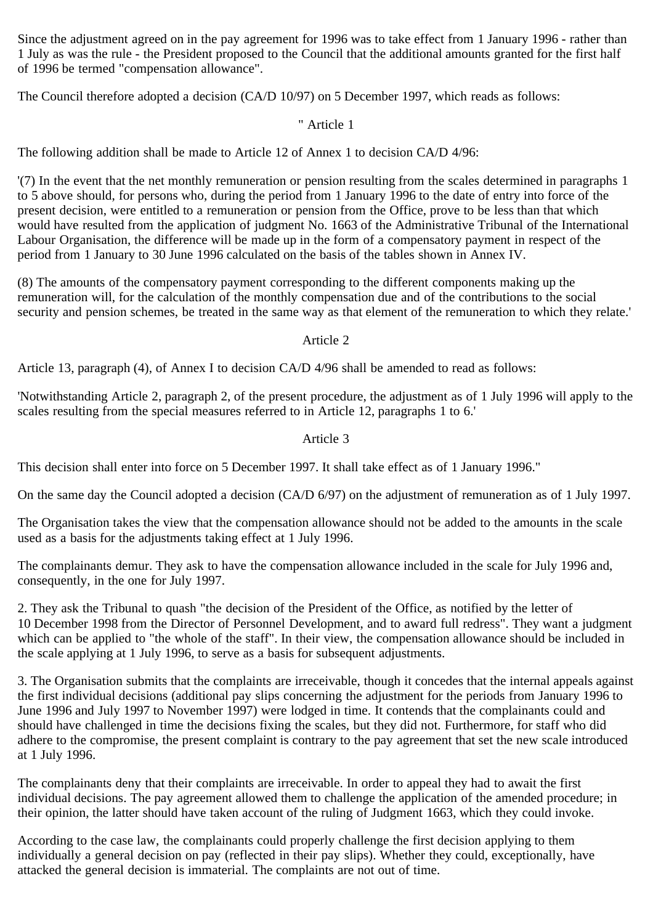Since the adjustment agreed on in the pay agreement for 1996 was to take effect from 1 January 1996 - rather than 1 July as was the rule - the President proposed to the Council that the additional amounts granted for the first half of 1996 be termed "compensation allowance".

The Council therefore adopted a decision (CA/D 10/97) on 5 December 1997, which reads as follows:

## " Article 1

The following addition shall be made to Article 12 of Annex 1 to decision CA/D 4/96:

'(7) In the event that the net monthly remuneration or pension resulting from the scales determined in paragraphs 1 to 5 above should, for persons who, during the period from 1 January 1996 to the date of entry into force of the present decision, were entitled to a remuneration or pension from the Office, prove to be less than that which would have resulted from the application of judgment No. 1663 of the Administrative Tribunal of the International Labour Organisation, the difference will be made up in the form of a compensatory payment in respect of the period from 1 January to 30 June 1996 calculated on the basis of the tables shown in Annex IV.

(8) The amounts of the compensatory payment corresponding to the different components making up the remuneration will, for the calculation of the monthly compensation due and of the contributions to the social security and pension schemes, be treated in the same way as that element of the remuneration to which they relate.'

#### Article 2

Article 13, paragraph (4), of Annex I to decision CA/D 4/96 shall be amended to read as follows:

'Notwithstanding Article 2, paragraph 2, of the present procedure, the adjustment as of 1 July 1996 will apply to the scales resulting from the special measures referred to in Article 12, paragraphs 1 to 6.'

## Article 3

This decision shall enter into force on 5 December 1997. It shall take effect as of 1 January 1996."

On the same day the Council adopted a decision (CA/D 6/97) on the adjustment of remuneration as of 1 July 1997.

The Organisation takes the view that the compensation allowance should not be added to the amounts in the scale used as a basis for the adjustments taking effect at 1 July 1996.

The complainants demur. They ask to have the compensation allowance included in the scale for July 1996 and, consequently, in the one for July 1997.

2. They ask the Tribunal to quash "the decision of the President of the Office, as notified by the letter of 10 December 1998 from the Director of Personnel Development, and to award full redress". They want a judgment which can be applied to "the whole of the staff". In their view, the compensation allowance should be included in the scale applying at 1 July 1996, to serve as a basis for subsequent adjustments.

3. The Organisation submits that the complaints are irreceivable, though it concedes that the internal appeals against the first individual decisions (additional pay slips concerning the adjustment for the periods from January 1996 to June 1996 and July 1997 to November 1997) were lodged in time. It contends that the complainants could and should have challenged in time the decisions fixing the scales, but they did not. Furthermore, for staff who did adhere to the compromise, the present complaint is contrary to the pay agreement that set the new scale introduced at 1 July 1996.

The complainants deny that their complaints are irreceivable. In order to appeal they had to await the first individual decisions. The pay agreement allowed them to challenge the application of the amended procedure; in their opinion, the latter should have taken account of the ruling of Judgment 1663, which they could invoke.

According to the case law, the complainants could properly challenge the first decision applying to them individually a general decision on pay (reflected in their pay slips). Whether they could, exceptionally, have attacked the general decision is immaterial. The complaints are not out of time.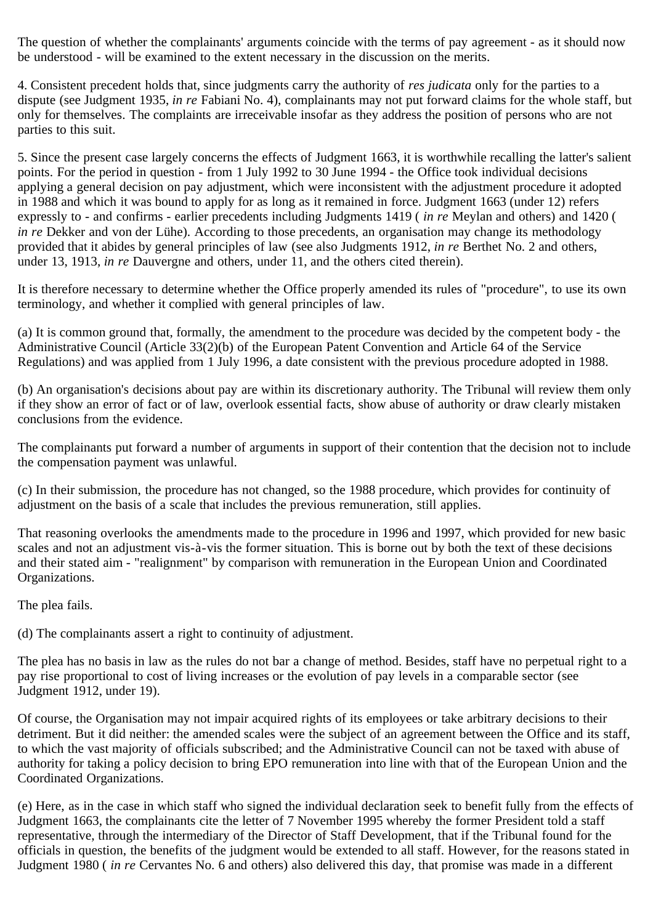The question of whether the complainants' arguments coincide with the terms of pay agreement - as it should now be understood - will be examined to the extent necessary in the discussion on the merits.

4. Consistent precedent holds that, since judgments carry the authority of *res judicata* only for the parties to a dispute (see Judgment 1935, *in re* Fabiani No. 4), complainants may not put forward claims for the whole staff, but only for themselves. The complaints are irreceivable insofar as they address the position of persons who are not parties to this suit.

5. Since the present case largely concerns the effects of Judgment 1663, it is worthwhile recalling the latter's salient points. For the period in question - from 1 July 1992 to 30 June 1994 - the Office took individual decisions applying a general decision on pay adjustment, which were inconsistent with the adjustment procedure it adopted in 1988 and which it was bound to apply for as long as it remained in force. Judgment 1663 (under 12) refers expressly to - and confirms - earlier precedents including Judgments 1419 ( *in re* Meylan and others) and 1420 ( *in re* Dekker and von der Lühe). According to those precedents, an organisation may change its methodology provided that it abides by general principles of law (see also Judgments 1912, *in re* Berthet No. 2 and others, under 13, 1913, *in re* Dauvergne and others, under 11, and the others cited therein).

It is therefore necessary to determine whether the Office properly amended its rules of "procedure", to use its own terminology, and whether it complied with general principles of law.

(a) It is common ground that, formally, the amendment to the procedure was decided by the competent body - the Administrative Council (Article 33(2)(b) of the European Patent Convention and Article 64 of the Service Regulations) and was applied from 1 July 1996, a date consistent with the previous procedure adopted in 1988.

(b) An organisation's decisions about pay are within its discretionary authority. The Tribunal will review them only if they show an error of fact or of law, overlook essential facts, show abuse of authority or draw clearly mistaken conclusions from the evidence.

The complainants put forward a number of arguments in support of their contention that the decision not to include the compensation payment was unlawful.

(c) In their submission, the procedure has not changed, so the 1988 procedure, which provides for continuity of adjustment on the basis of a scale that includes the previous remuneration, still applies.

That reasoning overlooks the amendments made to the procedure in 1996 and 1997, which provided for new basic scales and not an adjustment vis-à-vis the former situation. This is borne out by both the text of these decisions and their stated aim - "realignment" by comparison with remuneration in the European Union and Coordinated Organizations.

The plea fails.

(d) The complainants assert a right to continuity of adjustment.

The plea has no basis in law as the rules do not bar a change of method. Besides, staff have no perpetual right to a pay rise proportional to cost of living increases or the evolution of pay levels in a comparable sector (see Judgment 1912, under 19).

Of course, the Organisation may not impair acquired rights of its employees or take arbitrary decisions to their detriment. But it did neither: the amended scales were the subject of an agreement between the Office and its staff, to which the vast majority of officials subscribed; and the Administrative Council can not be taxed with abuse of authority for taking a policy decision to bring EPO remuneration into line with that of the European Union and the Coordinated Organizations.

(e) Here, as in the case in which staff who signed the individual declaration seek to benefit fully from the effects of Judgment 1663, the complainants cite the letter of 7 November 1995 whereby the former President told a staff representative, through the intermediary of the Director of Staff Development, that if the Tribunal found for the officials in question, the benefits of the judgment would be extended to all staff. However, for the reasons stated in Judgment 1980 ( *in re* Cervantes No. 6 and others) also delivered this day, that promise was made in a different